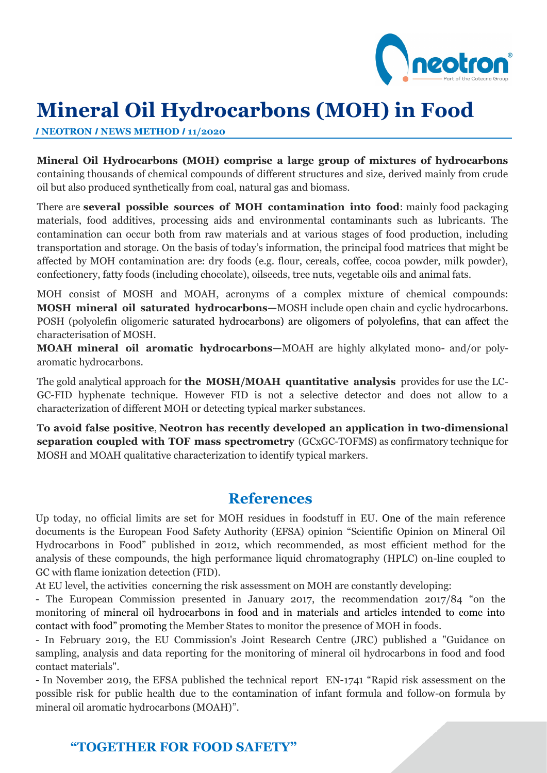

# **Mineral Oil Hydrocarbons (MOH) in Food**

*I* **NEOTRON** *I* **NEWS METHOD** *I* **11/2020**

**Mineral Oil Hydrocarbons (MOH) comprise a large group of mixtures of hydrocarbons**  containing thousands of chemical compounds of different structures and size, derived mainly from crude oil but also produced synthetically from coal, natural gas and biomass.

There are **several possible sources of MOH contamination into food**: mainly food packaging materials, food additives, processing aids and environmental contaminants such as lubricants. The contamination can occur both from raw materials and at various stages of food production, including transportation and storage. On the basis of today's information, the principal food matrices that might be affected by MOH contamination are: dry foods (e.g. flour, cereals, coffee, cocoa powder, milk powder), confectionery, fatty foods (including chocolate), oilseeds, tree nuts, vegetable oils and animal fats.

MOH consist of MOSH and MOAH, acronyms of a complex mixture of chemical compounds: **MOSH mineral oil saturated hydrocarbons—**MOSH include open chain and cyclic hydrocarbons. POSH (polyolefin oligomeric saturated hydrocarbons) are oligomers of polyolefins, that can affect the characterisation of MOSH.

**MOAH mineral oil aromatic hydrocarbons—**MOAH are highly alkylated mono- and/or polyaromatic hydrocarbons.

The gold analytical approach for **the MOSH/MOAH quantitative analysis** provides for use the LC-GC-FID hyphenate technique. However FID is not a selective detector and does not allow to a characterization of different MOH or detecting typical marker substances.

**To avoid false positive**, **Neotron has recently developed an application in two-dimensional separation coupled with TOF mass spectrometry** (GCxGC-TOFMS) as confirmatory technique for MOSH and MOAH qualitative characterization to identify typical markers.

## **References**

Up today, no official limits are set for MOH residues in foodstuff in EU. One of the main reference documents is the European Food Safety Authority (EFSA) opinion "Scientific Opinion on Mineral Oil Hydrocarbons in Food" published in 2012, which recommended, as most efficient method for the analysis of these compounds, the high performance liquid chromatography (HPLC) on-line coupled to GC with flame ionization detection (FID).

At EU level, the activities concerning the risk assessment on MOH are constantly developing:

- The European Commission presented in January 2017, the recommendation 2017/84 "on the monitoring of mineral oil hydrocarbons in food and in materials and articles intended to come into contact with food" promoting the Member States to monitor the presence of MOH in foods.

- In February 2019, the EU Commission's Joint Research Centre (JRC) published a "Guidance on sampling, analysis and data reporting for the monitoring of mineral oil hydrocarbons in food and food contact materials".

- In November 2019, the EFSA published the technical report EN-1741 "Rapid risk assessment on the possible risk for public health due to the contamination of infant formula and follow-on formula by mineral oil aromatic hydrocarbons (MOAH)".

### **"TOGETHER FOR FOOD SAFETY"**